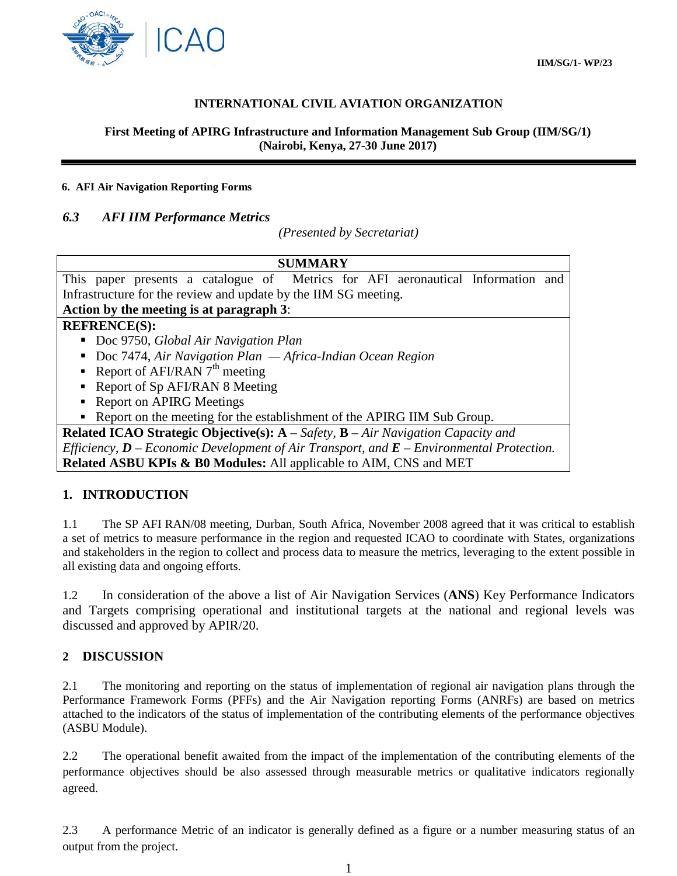

## **INTERNATIONAL CIVIL AVIATION ORGANIZATION**

### **First Meeting of APIRG Infrastructure and Information Management Sub Group (IIM/SG/1) (Nairobi, Kenya, 27-30 June 2017)**

#### **6. AFI Air Navigation Reporting Forms**

## *6.3 AFI IIM Performance Metrics*

*(Presented by Secretariat)*

|--|

This paper presents a catalogue of Metrics for AFI aeronautical Information and Infrastructure for the review and update by the IIM SG meeting.

# **Action by the meeting is at paragraph 3**:

### **REFRENCE(S):**

- Doc 9750, *Global Air Navigation Plan*
- Doc 7474, *Air Navigation Plan Africa-Indian Ocean Region*
- Report of AFI/RAN  $7<sup>th</sup>$  meeting
- Report of Sp AFI/RAN 8 Meeting
- Report on APIRG Meetings
- Report on the meeting for the establishment of the APIRG IIM Sub Group.

**Related ICAO Strategic Objective(s): A** – *Safety,* **B** – *Air Navigation Capacity and Efficiency, D – Economic Development of Air Transport, and E – Environmental Protection.* **Related ASBU KPIs & B0 Modules:** All applicable to AIM, CNS and MET

## **1. INTRODUCTION**

1.1 The SP AFI RAN/08 meeting, Durban, South Africa, November 2008 agreed that it was critical to establish a set of metrics to measure performance in the region and requested ICAO to coordinate with States, organizations and stakeholders in the region to collect and process data to measure the metrics, leveraging to the extent possible in all existing data and ongoing efforts.

1.2 In consideration of the above a list of Air Navigation Services (**ANS**) Key Performance Indicators and Targets comprising operational and institutional targets at the national and regional levels was discussed and approved by APIR/20.

### **2 DISCUSSION**

2.1 The monitoring and reporting on the status of implementation of regional air navigation plans through the Performance Framework Forms (PFFs) and the Air Navigation reporting Forms (ANRFs) are based on metrics attached to the indicators of the status of implementation of the contributing elements of the performance objectives (ASBU Module).

2.2 The operational benefit awaited from the impact of the implementation of the contributing elements of the performance objectives should be also assessed through measurable metrics or qualitative indicators regionally agreed.

2.3 A performance Metric of an indicator is generally defined as a figure or a number measuring status of an output from the project.